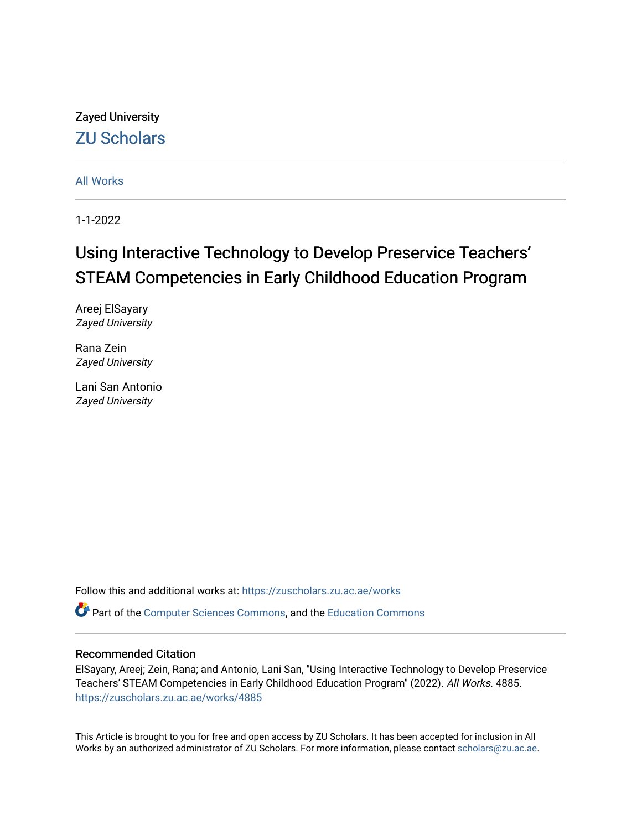# Zayed University [ZU Scholars](https://zuscholars.zu.ac.ae/)

[All Works](https://zuscholars.zu.ac.ae/works)

1-1-2022

# Using Interactive Technology to Develop Preservice Teachers' STEAM Competencies in Early Childhood Education Program

Areej ElSayary Zayed University

Rana Zein Zayed University

Lani San Antonio Zayed University

Follow this and additional works at: [https://zuscholars.zu.ac.ae/works](https://zuscholars.zu.ac.ae/works?utm_source=zuscholars.zu.ac.ae%2Fworks%2F4885&utm_medium=PDF&utm_campaign=PDFCoverPages)

Part of the [Computer Sciences Commons](http://network.bepress.com/hgg/discipline/142?utm_source=zuscholars.zu.ac.ae%2Fworks%2F4885&utm_medium=PDF&utm_campaign=PDFCoverPages), and the [Education Commons](http://network.bepress.com/hgg/discipline/784?utm_source=zuscholars.zu.ac.ae%2Fworks%2F4885&utm_medium=PDF&utm_campaign=PDFCoverPages)

## Recommended Citation

ElSayary, Areej; Zein, Rana; and Antonio, Lani San, "Using Interactive Technology to Develop Preservice Teachers' STEAM Competencies in Early Childhood Education Program" (2022). All Works. 4885. [https://zuscholars.zu.ac.ae/works/4885](https://zuscholars.zu.ac.ae/works/4885?utm_source=zuscholars.zu.ac.ae%2Fworks%2F4885&utm_medium=PDF&utm_campaign=PDFCoverPages)

This Article is brought to you for free and open access by ZU Scholars. It has been accepted for inclusion in All Works by an authorized administrator of ZU Scholars. For more information, please contact [scholars@zu.ac.ae](mailto:scholars@zu.ac.ae).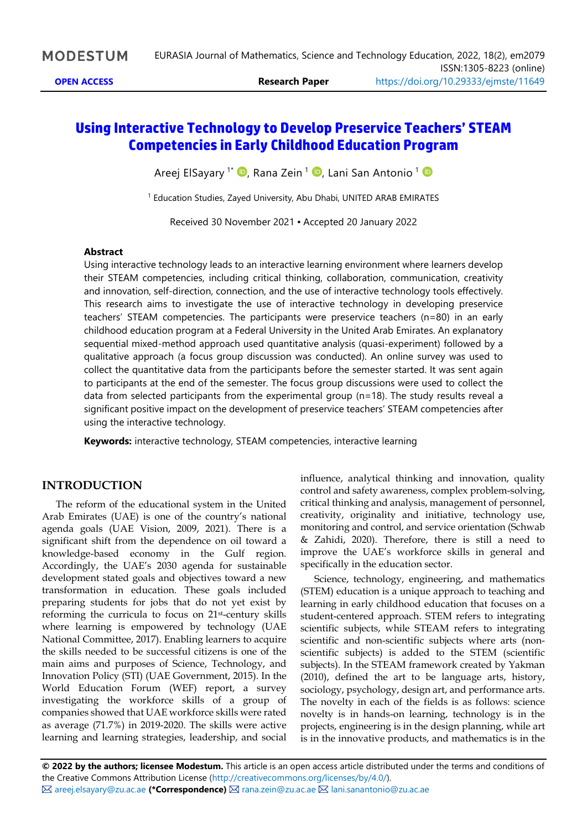# **Using Interactive Technology to Develop Preservice Teachers' STEAM Competencies in Early Childhood Education Program**

Areej ElSayary <sup>1\*</sup> �[,](https://orcid.org/0000-0002-0813-0315) Rana Zein <sup>1</sup> �, Lani San Antonio <sup>1</sup>

<sup>1</sup> Education Studies, Zayed University, Abu Dhabi, UNITED ARAB EMIRATES

Received 30 November 2021 ▪ Accepted 20 January 2022

#### **Abstract**

Using interactive technology leads to an interactive learning environment where learners develop their STEAM competencies, including critical thinking, collaboration, communication, creativity and innovation, self-direction, connection, and the use of interactive technology tools effectively. This research aims to investigate the use of interactive technology in developing preservice teachers' STEAM competencies. The participants were preservice teachers (n=80) in an early childhood education program at a Federal University in the United Arab Emirates. An explanatory sequential mixed-method approach used quantitative analysis (quasi-experiment) followed by a qualitative approach (a focus group discussion was conducted). An online survey was used to collect the quantitative data from the participants before the semester started. It was sent again to participants at the end of the semester. The focus group discussions were used to collect the data from selected participants from the experimental group (n=18). The study results reveal a significant positive impact on the development of preservice teachers' STEAM competencies after using the interactive technology.

**Keywords:** interactive technology, STEAM competencies, interactive learning

# **INTRODUCTION**

The reform of the educational system in the United Arab Emirates (UAE) is one of the country's national agenda goals (UAE Vision, 2009, 2021). There is a significant shift from the dependence on oil toward a knowledge-based economy in the Gulf region. Accordingly, the UAE's 2030 agenda for sustainable development stated goals and objectives toward a new transformation in education. These goals included preparing students for jobs that do not yet exist by reforming the curricula to focus on 21st-century skills where learning is empowered by technology (UAE National Committee, 2017). Enabling learners to acquire the skills needed to be successful citizens is one of the main aims and purposes of Science, Technology, and Innovation Policy (STI) (UAE Government, 2015). In the World Education Forum (WEF) report, a survey investigating the workforce skills of a group of companies showed that UAE workforce skills were rated as average (71.7%) in 2019-2020. The skills were active learning and learning strategies, leadership, and social

influence, analytical thinking and innovation, quality control and safety awareness, complex problem-solving, critical thinking and analysis, management of personnel, creativity, originality and initiative, technology use, monitoring and control, and service orientation (Schwab & Zahidi, 2020). Therefore, there is still a need to improve the UAE's workforce skills in general and specifically in the education sector.

Science, technology, engineering, and mathematics (STEM) education is a unique approach to teaching and learning in early childhood education that focuses on a student-centered approach. STEM refers to integrating scientific subjects, while STEAM refers to integrating scientific and non-scientific subjects where arts (nonscientific subjects) is added to the STEM (scientific subjects). In the STEAM framework created by Yakman (2010), defined the art to be language arts, history, sociology, psychology, design art, and performance arts. The novelty in each of the fields is as follows: science novelty is in hands-on learning, technology is in the projects, engineering is in the design planning, while art is in the innovative products, and mathematics is in the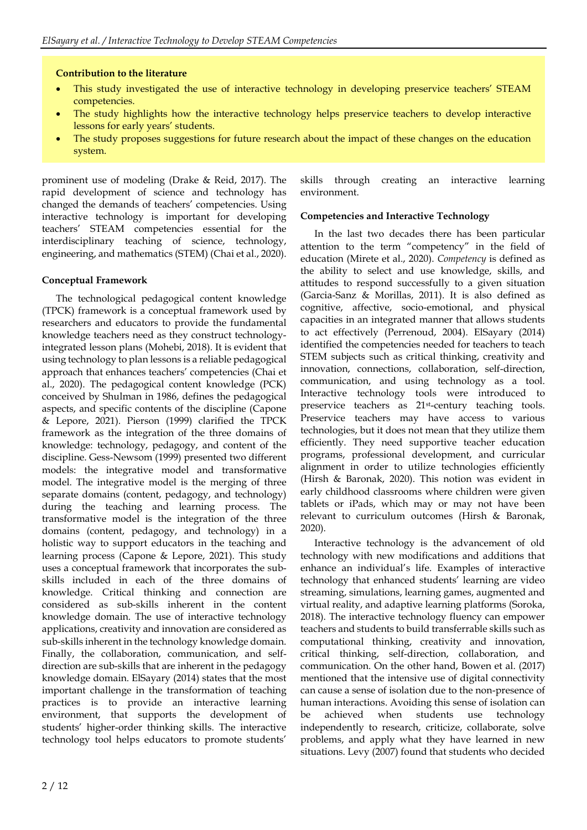### **Contribution to the literature**

- This study investigated the use of interactive technology in developing preservice teachers' STEAM competencies.
- The study highlights how the interactive technology helps preservice teachers to develop interactive lessons for early years' students.
- The study proposes suggestions for future research about the impact of these changes on the education system.

prominent use of modeling (Drake & Reid, 2017). The rapid development of science and technology has changed the demands of teachers' competencies. Using interactive technology is important for developing teachers' STEAM competencies essential for the interdisciplinary teaching of science, technology, engineering, and mathematics (STEM) (Chai et al., 2020).

### **Conceptual Framework**

The technological pedagogical content knowledge (TPCK) framework is a conceptual framework used by researchers and educators to provide the fundamental knowledge teachers need as they construct technologyintegrated lesson plans (Mohebi, 2018). It is evident that using technology to plan lessons is a reliable pedagogical approach that enhances teachers' competencies (Chai et al., 2020). The pedagogical content knowledge (PCK) conceived by Shulman in 1986, defines the pedagogical aspects, and specific contents of the discipline (Capone & Lepore, 2021). Pierson (1999) clarified the TPCK framework as the integration of the three domains of knowledge: technology, pedagogy, and content of the discipline. Gess-Newsom (1999) presented two different models: the integrative model and transformative model. The integrative model is the merging of three separate domains (content, pedagogy, and technology) during the teaching and learning process. The transformative model is the integration of the three domains (content, pedagogy, and technology) in a holistic way to support educators in the teaching and learning process (Capone & Lepore, 2021). This study uses a conceptual framework that incorporates the subskills included in each of the three domains of knowledge. Critical thinking and connection are considered as sub-skills inherent in the content knowledge domain. The use of interactive technology applications, creativity and innovation are considered as sub-skills inherent in the technology knowledge domain. Finally, the collaboration, communication, and selfdirection are sub-skills that are inherent in the pedagogy knowledge domain. ElSayary (2014) states that the most important challenge in the transformation of teaching practices is to provide an interactive learning environment, that supports the development of students' higher-order thinking skills. The interactive technology tool helps educators to promote students'

skills through creating an interactive learning environment.

### **Competencies and Interactive Technology**

In the last two decades there has been particular attention to the term "competency" in the field of education (Mirete et al., 2020). *Competency* is defined as the ability to select and use knowledge, skills, and attitudes to respond successfully to a given situation (Garcia-Sanz & Morillas, 2011). It is also defined as cognitive, affective, socio-emotional, and physical capacities in an integrated manner that allows students to act effectively (Perrenoud, 2004). ElSayary (2014) identified the competencies needed for teachers to teach STEM subjects such as critical thinking, creativity and innovation, connections, collaboration, self-direction, communication, and using technology as a tool. Interactive technology tools were introduced to preservice teachers as 21st-century teaching tools. Preservice teachers may have access to various technologies, but it does not mean that they utilize them efficiently. They need supportive teacher education programs, professional development, and curricular alignment in order to utilize technologies efficiently (Hirsh & Baronak, 2020). This notion was evident in early childhood classrooms where children were given tablets or iPads, which may or may not have been relevant to curriculum outcomes (Hirsh & Baronak, 2020).

Interactive technology is the advancement of old technology with new modifications and additions that enhance an individual's life. Examples of interactive technology that enhanced students' learning are video streaming, simulations, learning games, augmented and virtual reality, and adaptive learning platforms (Soroka, 2018). The interactive technology fluency can empower teachers and students to build transferrable skills such as computational thinking, creativity and innovation, critical thinking, self-direction, collaboration, and communication. On the other hand, Bowen et al. (2017) mentioned that the intensive use of digital connectivity can cause a sense of isolation due to the non-presence of human interactions. Avoiding this sense of isolation can be achieved when students use technology independently to research, criticize, collaborate, solve problems, and apply what they have learned in new situations. Levy (2007) found that students who decided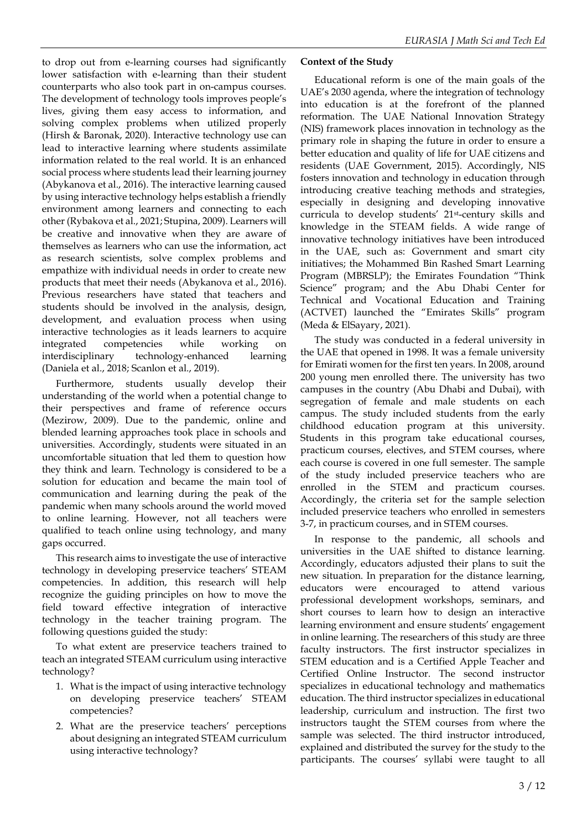to drop out from e-learning courses had significantly lower satisfaction with e-learning than their student counterparts who also took part in on-campus courses. The development of technology tools improves people's lives, giving them easy access to information, and solving complex problems when utilized properly (Hirsh & Baronak, 2020). Interactive technology use can lead to interactive learning where students assimilate information related to the real world. It is an enhanced social process where students lead their learning journey (Abykanova et al., 2016). The interactive learning caused by using interactive technology helps establish a friendly environment among learners and connecting to each other (Rybakova et al., 2021; Stupina, 2009). Learners will be creative and innovative when they are aware of themselves as learners who can use the information, act as research scientists, solve complex problems and empathize with individual needs in order to create new products that meet their needs (Abykanova et al., 2016). Previous researchers have stated that teachers and students should be involved in the analysis, design, development, and evaluation process when using interactive technologies as it leads learners to acquire integrated competencies while working on interdisciplinary technology-enhanced learning (Daniela et al., 2018; Scanlon et al., 2019).

Furthermore, students usually develop their understanding of the world when a potential change to their perspectives and frame of reference occurs (Mezirow, 2009). Due to the pandemic, online and blended learning approaches took place in schools and universities. Accordingly, students were situated in an uncomfortable situation that led them to question how they think and learn. Technology is considered to be a solution for education and became the main tool of communication and learning during the peak of the pandemic when many schools around the world moved to online learning. However, not all teachers were qualified to teach online using technology, and many gaps occurred.

This research aims to investigate the use of interactive technology in developing preservice teachers' STEAM competencies. In addition, this research will help recognize the guiding principles on how to move the field toward effective integration of interactive technology in the teacher training program. The following questions guided the study:

To what extent are preservice teachers trained to teach an integrated STEAM curriculum using interactive technology?

- 1. What is the impact of using interactive technology on developing preservice teachers' STEAM competencies?
- 2. What are the preservice teachers' perceptions about designing an integrated STEAM curriculum using interactive technology?

# **Context of the Study**

Educational reform is one of the main goals of the UAE's 2030 agenda, where the integration of technology into education is at the forefront of the planned reformation. The UAE National Innovation Strategy (NIS) framework places innovation in technology as the primary role in shaping the future in order to ensure a better education and quality of life for UAE citizens and residents (UAE Government, 2015). Accordingly, NIS fosters innovation and technology in education through introducing creative teaching methods and strategies, especially in designing and developing innovative curricula to develop students' 21st-century skills and knowledge in the STEAM fields. A wide range of innovative technology initiatives have been introduced in the UAE, such as: Government and smart city initiatives; the Mohammed Bin Rashed Smart Learning Program (MBRSLP); the Emirates Foundation "Think Science" program; and the Abu Dhabi Center for Technical and Vocational Education and Training (ACTVET) launched the "Emirates Skills" program (Meda & ElSayary, 2021).

The study was conducted in a federal university in the UAE that opened in 1998. It was a female university for Emirati women for the first ten years. In 2008, around 200 young men enrolled there. The university has two campuses in the country (Abu Dhabi and Dubai), with segregation of female and male students on each campus. The study included students from the early childhood education program at this university. Students in this program take educational courses, practicum courses, electives, and STEM courses, where each course is covered in one full semester. The sample of the study included preservice teachers who are enrolled in the STEM and practicum courses. Accordingly, the criteria set for the sample selection included preservice teachers who enrolled in semesters 3-7, in practicum courses, and in STEM courses.

In response to the pandemic, all schools and universities in the UAE shifted to distance learning. Accordingly, educators adjusted their plans to suit the new situation. In preparation for the distance learning, educators were encouraged to attend various professional development workshops, seminars, and short courses to learn how to design an interactive learning environment and ensure students' engagement in online learning. The researchers of this study are three faculty instructors. The first instructor specializes in STEM education and is a Certified Apple Teacher and Certified Online Instructor. The second instructor specializes in educational technology and mathematics education. The third instructor specializes in educational leadership, curriculum and instruction. The first two instructors taught the STEM courses from where the sample was selected. The third instructor introduced, explained and distributed the survey for the study to the participants. The courses' syllabi were taught to all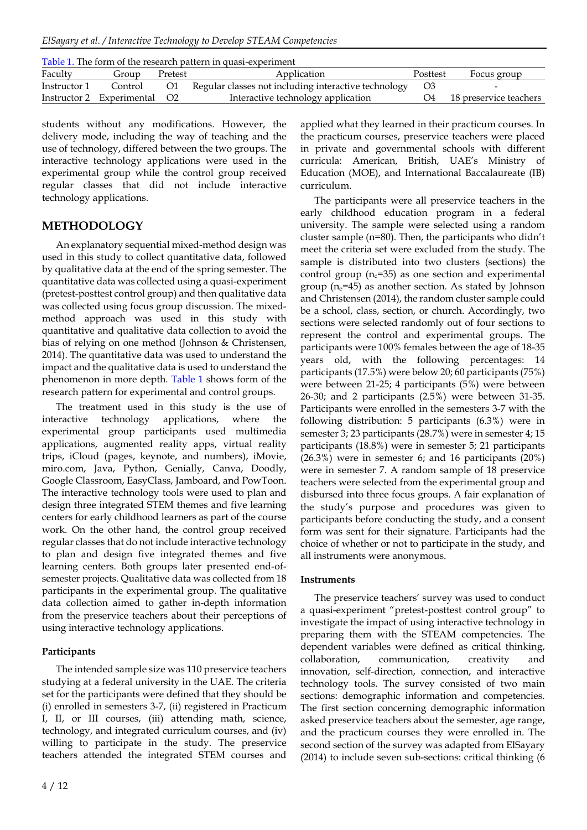*ElSayary et al. / Interactive Technology to Develop STEAM Competencies*

| Table 1. The form of the research pattern in quasi-experiment |                           |                |                                                      |          |                        |  |  |  |
|---------------------------------------------------------------|---------------------------|----------------|------------------------------------------------------|----------|------------------------|--|--|--|
| Faculty                                                       | Group                     | Pretest        | Application                                          | Posttest | Focus group            |  |  |  |
| Instructor 1                                                  | Control                   | O1             | Regular classes not including interactive technology | $\Omega$ |                        |  |  |  |
|                                                               | Instructor 2 Experimental | O <sub>2</sub> | Interactive technology application                   | Ο4       | 18 preservice teachers |  |  |  |

students without any modifications. However, the delivery mode, including the way of teaching and the use of technology, differed between the two groups. The interactive technology applications were used in the experimental group while the control group received regular classes that did not include interactive technology applications.

# **METHODOLOGY**

An explanatory sequential mixed-method design was used in this study to collect quantitative data, followed by qualitative data at the end of the spring semester. The quantitative data was collected using a quasi-experiment (pretest-posttest control group) and then qualitative data was collected using focus group discussion. The mixedmethod approach was used in this study with quantitative and qualitative data collection to avoid the bias of relying on one method (Johnson & Christensen, 2014). The quantitative data was used to understand the impact and the qualitative data is used to understand the phenomenon in more depth. Table 1 shows form of the research pattern for experimental and control groups.

The treatment used in this study is the use of interactive technology applications, where the experimental group participants used multimedia applications, augmented reality apps, virtual reality trips, iCloud (pages, keynote, and numbers), iMovie, miro.com, Java, Python, Genially, Canva, Doodly, Google Classroom, EasyClass, Jamboard, and PowToon. The interactive technology tools were used to plan and design three integrated STEM themes and five learning centers for early childhood learners as part of the course work. On the other hand, the control group received regular classes that do not include interactive technology to plan and design five integrated themes and five learning centers. Both groups later presented end-ofsemester projects. Qualitative data was collected from 18 participants in the experimental group. The qualitative data collection aimed to gather in-depth information from the preservice teachers about their perceptions of using interactive technology applications.

## **Participants**

The intended sample size was 110 preservice teachers studying at a federal university in the UAE. The criteria set for the participants were defined that they should be (i) enrolled in semesters 3-7, (ii) registered in Practicum I, II, or III courses, (iii) attending math, science, technology, and integrated curriculum courses, and (iv) willing to participate in the study. The preservice teachers attended the integrated STEM courses and applied what they learned in their practicum courses. In the practicum courses, preservice teachers were placed in private and governmental schools with different curricula: American, British, UAE's Ministry of Education (MOE), and International Baccalaureate (IB) curriculum.

The participants were all preservice teachers in the early childhood education program in a federal university. The sample were selected using a random cluster sample (n=80). Then, the participants who didn't meet the criteria set were excluded from the study. The sample is distributed into two clusters (sections) the control group ( $n_c$ =35) as one section and experimental group ( $n_e$ =45) as another section. As stated by Johnson and Christensen (2014), the random cluster sample could be a school, class, section, or church. Accordingly, two sections were selected randomly out of four sections to represent the control and experimental groups. The participants were 100% females between the age of 18-35 years old, with the following percentages: 14 participants (17.5%) were below 20; 60 participants (75%) were between 21-25; 4 participants (5%) were between 26-30; and 2 participants (2.5%) were between 31-35. Participants were enrolled in the semesters 3-7 with the following distribution: 5 participants (6.3%) were in semester 3; 23 participants (28.7%) were in semester 4; 15 participants (18.8%) were in semester 5; 21 participants (26.3%) were in semester 6; and 16 participants (20%) were in semester 7. A random sample of 18 preservice teachers were selected from the experimental group and disbursed into three focus groups. A fair explanation of the study's purpose and procedures was given to participants before conducting the study, and a consent form was sent for their signature. Participants had the choice of whether or not to participate in the study, and all instruments were anonymous.

## **Instruments**

The preservice teachers' survey was used to conduct a quasi-experiment "pretest-posttest control group" to investigate the impact of using interactive technology in preparing them with the STEAM competencies. The dependent variables were defined as critical thinking, collaboration, communication, creativity and innovation, self-direction, connection, and interactive technology tools. The survey consisted of two main sections: demographic information and competencies. The first section concerning demographic information asked preservice teachers about the semester, age range, and the practicum courses they were enrolled in. The second section of the survey was adapted from ElSayary (2014) to include seven sub-sections: critical thinking (6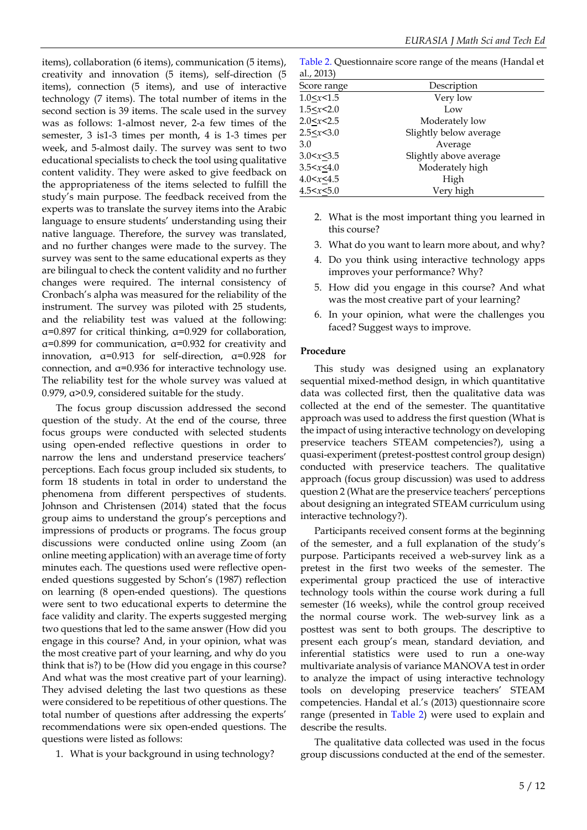items), collaboration (6 items), communication (5 items), creativity and innovation (5 items), self-direction (5 items), connection (5 items), and use of interactive technology (7 items). The total number of items in the second section is 39 items. The scale used in the survey was as follows: 1-almost never, 2-a few times of the semester, 3 is1-3 times per month, 4 is 1-3 times per week, and 5-almost daily. The survey was sent to two educational specialists to check the tool using qualitative content validity. They were asked to give feedback on the appropriateness of the items selected to fulfill the study's main purpose. The feedback received from the experts was to translate the survey items into the Arabic language to ensure students' understanding using their native language. Therefore, the survey was translated, and no further changes were made to the survey. The survey was sent to the same educational experts as they are bilingual to check the content validity and no further changes were required. The internal consistency of Cronbach's alpha was measured for the reliability of the instrument. The survey was piloted with 25 students, and the reliability test was valued at the following: α=0.897 for critical thinking, α=0.929 for collaboration, α=0.899 for communication, α=0.932 for creativity and innovation,  $\alpha$ =0.913 for self-direction,  $\alpha$ =0.928 for connection, and α=0.936 for interactive technology use. The reliability test for the whole survey was valued at 0.979, α>0.9, considered suitable for the study.

The focus group discussion addressed the second question of the study. At the end of the course, three focus groups were conducted with selected students using open-ended reflective questions in order to narrow the lens and understand preservice teachers' perceptions. Each focus group included six students, to form 18 students in total in order to understand the phenomena from different perspectives of students. Johnson and Christensen (2014) stated that the focus group aims to understand the group's perceptions and impressions of products or programs. The focus group discussions were conducted online using Zoom (an online meeting application) with an average time of forty minutes each. The questions used were reflective openended questions suggested by Schon's (1987) reflection on learning (8 open-ended questions). The questions were sent to two educational experts to determine the face validity and clarity. The experts suggested merging two questions that led to the same answer (How did you engage in this course? And, in your opinion, what was the most creative part of your learning, and why do you think that is?) to be (How did you engage in this course? And what was the most creative part of your learning). They advised deleting the last two questions as these were considered to be repetitious of other questions. The total number of questions after addressing the experts' recommendations were six open-ended questions. The questions were listed as follows:

1. What is your background in using technology?

Table 2. Questionnaire score range of the means (Handal et  $a1.2013$ 

| $\mathbf{u}_1, \mathbf{v}_2, \mathbf{v}_3$ |                        |  |
|--------------------------------------------|------------------------|--|
| Score range                                | Description            |  |
| 1.0 < x < 1.5                              | Very low               |  |
| 1.5 < x < 2.0                              | Low                    |  |
| $2.0 \le x \le 2.5$                        | Moderately low         |  |
| 2.5 < x < 3.0                              | Slightly below average |  |
| 3.0                                        | Average                |  |
| 3.0 < x < 3.5                              | Slightly above average |  |
| 3.5 < x < 4.0                              | Moderately high        |  |
| 4.0 < x < 4.5                              | High                   |  |
| 4.5 < x < 5.0                              | Very high              |  |

- 2. What is the most important thing you learned in this course?
- 3. What do you want to learn more about, and why?
- 4. Do you think using interactive technology apps improves your performance? Why?
- 5. How did you engage in this course? And what was the most creative part of your learning?
- 6. In your opinion, what were the challenges you faced? Suggest ways to improve.

### **Procedure**

This study was designed using an explanatory sequential mixed-method design, in which quantitative data was collected first, then the qualitative data was collected at the end of the semester. The quantitative approach was used to address the first question (What is the impact of using interactive technology on developing preservice teachers STEAM competencies?), using a quasi-experiment (pretest-posttest control group design) conducted with preservice teachers. The qualitative approach (focus group discussion) was used to address question 2 (What are the preservice teachers' perceptions about designing an integrated STEAM curriculum using interactive technology?).

Participants received consent forms at the beginning of the semester, and a full explanation of the study's purpose. Participants received a web-survey link as a pretest in the first two weeks of the semester. The experimental group practiced the use of interactive technology tools within the course work during a full semester (16 weeks), while the control group received the normal course work. The web-survey link as a posttest was sent to both groups. The descriptive to present each group's mean, standard deviation, and inferential statistics were used to run a one-way multivariate analysis of variance MANOVA test in order to analyze the impact of using interactive technology tools on developing preservice teachers' STEAM competencies. Handal et al.'s (2013) questionnaire score range (presented in Table 2) were used to explain and describe the results.

The qualitative data collected was used in the focus group discussions conducted at the end of the semester.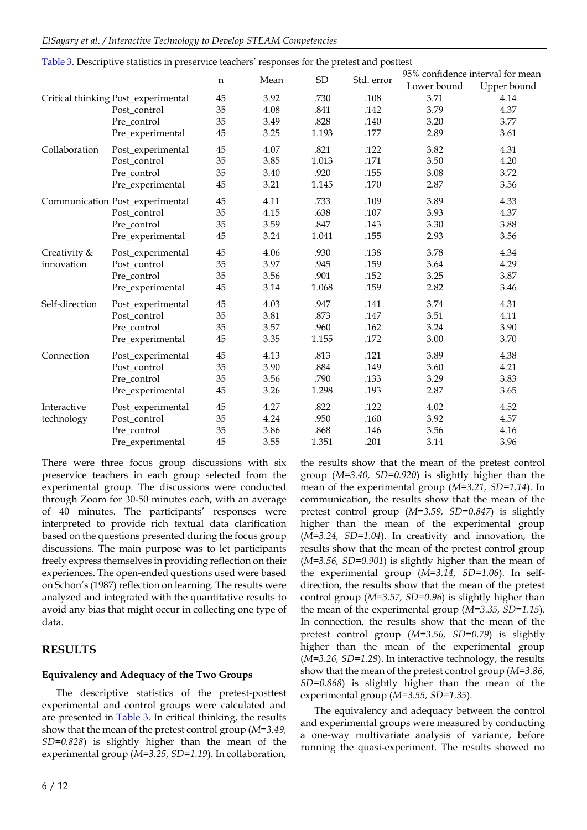| ElSayary et al. / Interactive Technology to Develop STEAM Competencies |  |  |  |
|------------------------------------------------------------------------|--|--|--|
|                                                                        |  |  |  |

| Table 3. Descriptive statistics in preservice teachers' responses for the pretest and posttest |                                     |             |      |            |            |             |                                  |
|------------------------------------------------------------------------------------------------|-------------------------------------|-------------|------|------------|------------|-------------|----------------------------------|
|                                                                                                |                                     |             | Mean | ${\rm SD}$ | Std. error |             | 95% confidence interval for mean |
|                                                                                                |                                     | $\mathbf n$ |      |            |            | Lower bound | Upper bound                      |
|                                                                                                | Critical thinking Post_experimental | 45          | 3.92 | .730       | .108       | 3.71        | 4.14                             |
|                                                                                                | Post control                        | 35          | 4.08 | .841       | .142       | 3.79        | 4.37                             |
|                                                                                                | Pre_control                         | 35          | 3.49 | .828       | .140       | 3.20        | 3.77                             |
|                                                                                                | Pre_experimental                    | 45          | 3.25 | 1.193      | .177       | 2.89        | 3.61                             |
| Collaboration                                                                                  | Post_experimental                   | 45          | 4.07 | .821       | .122       | 3.82        | 4.31                             |
|                                                                                                | Post_control                        | 35          | 3.85 | 1.013      | .171       | 3.50        | 4.20                             |
|                                                                                                | Pre_control                         | 35          | 3.40 | .920       | .155       | 3.08        | 3.72                             |
|                                                                                                | Pre_experimental                    | 45          | 3.21 | 1.145      | .170       | 2.87        | 3.56                             |
|                                                                                                | Communication Post_experimental     | 45          | 4.11 | .733       | .109       | 3.89        | 4.33                             |
|                                                                                                | Post_control                        | 35          | 4.15 | .638       | .107       | 3.93        | 4.37                             |
|                                                                                                | Pre_control                         | 35          | 3.59 | .847       | .143       | 3.30        | 3.88                             |
|                                                                                                | Pre_experimental                    | 45          | 3.24 | 1.041      | .155       | 2.93        | 3.56                             |
| Creativity &                                                                                   | Post_experimental                   | 45          | 4.06 | .930       | .138       | 3.78        | 4.34                             |
| innovation                                                                                     | Post_control                        | 35          | 3.97 | .945       | .159       | 3.64        | 4.29                             |
|                                                                                                | Pre_control                         | 35          | 3.56 | .901       | .152       | 3.25        | 3.87                             |
|                                                                                                | Pre_experimental                    | 45          | 3.14 | 1.068      | .159       | 2.82        | 3.46                             |
| Self-direction                                                                                 | Post_experimental                   | 45          | 4.03 | .947       | .141       | 3.74        | 4.31                             |
|                                                                                                | Post_control                        | 35          | 3.81 | .873       | .147       | 3.51        | 4.11                             |
|                                                                                                | Pre_control                         | 35          | 3.57 | .960       | .162       | 3.24        | 3.90                             |
|                                                                                                | Pre_experimental                    | 45          | 3.35 | 1.155      | .172       | 3.00        | 3.70                             |
| Connection                                                                                     | Post_experimental                   | 45          | 4.13 | .813       | .121       | 3.89        | 4.38                             |
|                                                                                                | Post_control                        | 35          | 3.90 | .884       | .149       | 3.60        | 4.21                             |
|                                                                                                | Pre_control                         | 35          | 3.56 | .790       | .133       | 3.29        | 3.83                             |
|                                                                                                | Pre_experimental                    | 45          | 3.26 | 1.298      | .193       | 2.87        | 3.65                             |
| Interactive                                                                                    | Post_experimental                   | 45          | 4.27 | .822       | .122       | 4.02        | 4.52                             |
| technology                                                                                     | Post_control                        | 35          | 4.24 | .950       | .160       | 3.92        | 4.57                             |
|                                                                                                | Pre_control                         | 35          | 3.86 | .868       | .146       | 3.56        | 4.16                             |
|                                                                                                | Pre_experimental                    | 45          | 3.55 | 1.351      | .201       | 3.14        | 3.96                             |

There were three focus group discussions with six preservice teachers in each group selected from the experimental group. The discussions were conducted through Zoom for 30-50 minutes each, with an average of 40 minutes. The participants' responses were interpreted to provide rich textual data clarification based on the questions presented during the focus group discussions. The main purpose was to let participants freely express themselves in providing reflection on their experiences. The open-ended questions used were based on Schon's (1987) reflection on learning. The results were analyzed and integrated with the quantitative results to avoid any bias that might occur in collecting one type of data.

# **RESULTS**

## **Equivalency and Adequacy of the Two Groups**

The descriptive statistics of the pretest-posttest experimental and control groups were calculated and are presented in Table 3. In critical thinking, the results show that the mean of the pretest control group (*M=3.49, SD=0.828*) is slightly higher than the mean of the experimental group (*M=3.25, SD=1.19*). In collaboration,

the results show that the mean of the pretest control group (*M=3.40, SD=0.920*) is slightly higher than the mean of the experimental group (*M=3.21, SD=1.14*). In communication, the results show that the mean of the pretest control group (*M=3.59, SD=0.847*) is slightly higher than the mean of the experimental group (*M=3.24, SD=1.04*). In creativity and innovation, the results show that the mean of the pretest control group (*M=3.56, SD=0.901*) is slightly higher than the mean of the experimental group (*M=3.14, SD=1.06*). In selfdirection, the results show that the mean of the pretest control group (*M=3.57, SD=0.96*) is slightly higher than the mean of the experimental group (*M=3.35, SD=1.15*). In connection, the results show that the mean of the pretest control group (*M=3.56, SD=0.79*) is slightly higher than the mean of the experimental group (*M=3.26, SD=1.29*). In interactive technology, the results show that the mean of the pretest control group (*M=3.86, SD=0.868*) is slightly higher than the mean of the experimental group (*M=3.55, SD=1.35*).

The equivalency and adequacy between the control and experimental groups were measured by conducting a one-way multivariate analysis of variance, before running the quasi-experiment. The results showed no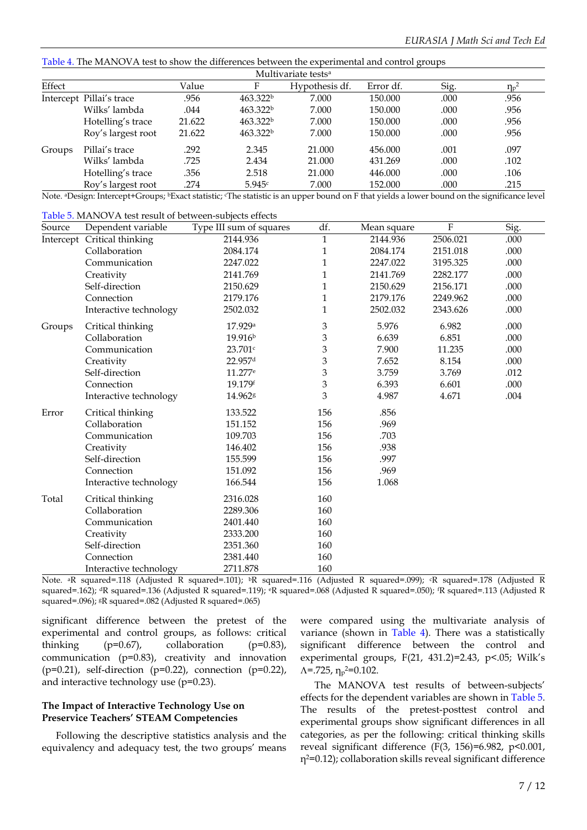Table 4. The MANOVA test to show the differences between the experimental and control groups

| Multivariate tests <sup>a</sup> |                          |        |                      |                |           |      |            |
|---------------------------------|--------------------------|--------|----------------------|----------------|-----------|------|------------|
| Effect                          |                          | Value  | F                    | Hypothesis df. | Error df. | Sig. | $\eta_p^2$ |
|                                 | Intercept Pillai's trace | .956   | 463.322 <sup>b</sup> | 7.000          | 150.000   | .000 | .956       |
|                                 | Wilks' lambda            | .044   | 463.322 <sup>b</sup> | 7.000          | 150.000   | .000 | .956       |
|                                 | Hotelling's trace        | 21.622 | 463.322 <sup>b</sup> | 7.000          | 150.000   | .000 | .956       |
|                                 | Roy's largest root       | 21.622 | 463.322 <sup>b</sup> | 7.000          | 150.000   | .000 | .956       |
| Groups                          | Pillai's trace           | .292   | 2.345                | 21.000         | 456.000   | .001 | .097       |
|                                 | Wilks' lambda            | .725   | 2.434                | 21.000         | 431.269   | .000 | .102       |
|                                 | Hotelling's trace        | .356   | 2.518                | 21.000         | 446.000   | .000 | .106       |
|                                 | Roy's largest root       | .274   | 5.945c               | 7.000          | 152.000   | .000 | .215       |

Note. <sup>a</sup>Design: Intercept+Groups; <sup>b</sup>Exact statistic; The statistic is an upper bound on F that yields a lower bound on the significance level

|  | Table 5. MANOVA test result of between-subjects effects |  |
|--|---------------------------------------------------------|--|
|--|---------------------------------------------------------|--|

| Source    | Dependent variable     | Type III sum of squares | df.          | Mean square | F        | Sig. |
|-----------|------------------------|-------------------------|--------------|-------------|----------|------|
| Intercept | Critical thinking      | 2144.936                | $\mathbf{1}$ | 2144.936    | 2506.021 | .000 |
|           | Collaboration          | 2084.174                | 1            | 2084.174    | 2151.018 | .000 |
|           | Communication          | 2247.022                | $\mathbf{1}$ | 2247.022    | 3195.325 | .000 |
|           | Creativity             | 2141.769                | 1            | 2141.769    | 2282.177 | .000 |
|           | Self-direction         | 2150.629                | $\mathbf{1}$ | 2150.629    | 2156.171 | .000 |
|           | Connection             | 2179.176                | 1            | 2179.176    | 2249.962 | .000 |
|           | Interactive technology | 2502.032                | $\mathbf{1}$ | 2502.032    | 2343.626 | .000 |
| Groups    | Critical thinking      | 17.929 <sup>a</sup>     | 3            | 5.976       | 6.982    | .000 |
|           | Collaboration          | 19.916 <sup>b</sup>     | 3            | 6.639       | 6.851    | .000 |
|           | Communication          | 23.701c                 | 3            | 7.900       | 11.235   | .000 |
|           | Creativity             | 22.957d                 | 3            | 7.652       | 8.154    | .000 |
|           | Self-direction         | 11.277 <sup>e</sup>     | 3            | 3.759       | 3.769    | .012 |
|           | Connection             | 19.179f                 | 3            | 6.393       | 6.601    | .000 |
|           | Interactive technology | 14.962g                 | 3            | 4.987       | 4.671    | .004 |
| Error     | Critical thinking      | 133.522                 | 156          | .856        |          |      |
|           | Collaboration          | 151.152                 | 156          | .969        |          |      |
|           | Communication          | 109.703                 | 156          | .703        |          |      |
|           | Creativity             | 146.402                 | 156          | .938        |          |      |
|           | Self-direction         | 155.599                 | 156          | .997        |          |      |
|           | Connection             | 151.092                 | 156          | .969        |          |      |
|           | Interactive technology | 166.544                 | 156          | 1.068       |          |      |
| Total     | Critical thinking      | 2316.028                | 160          |             |          |      |
|           | Collaboration          | 2289.306                | 160          |             |          |      |
|           | Communication          | 2401.440                | 160          |             |          |      |
|           | Creativity             | 2333.200                | 160          |             |          |      |
|           | Self-direction         | 2351.360                | 160          |             |          |      |
|           | Connection             | 2381.440                | 160          |             |          |      |
|           | Interactive technology | 2711.878                | 160          |             |          |      |

Note. <sup>a</sup>R squared=.118 (Adjusted R squared=.101); <sup>b</sup>R squared=.116 (Adjusted R squared=.099); <sup>c</sup>R squared=.178 (Adjusted R squared=.162); <sup>d</sup>R squared=.136 (Adjusted R squared=.119); <sup>e</sup>R squared=.068 (Adjusted R squared=.050); <sup>f</sup>R squared=.113 (Adjusted R squared=.096); gR squared=.082 (Adjusted R squared=.065)

significant difference between the pretest of the experimental and control groups, as follows: critical thinking  $(p=0.67)$ , collaboration  $(p=0.83)$ , communication (p=0.83), creativity and innovation ( $p=0.21$ ), self-direction ( $p=0.22$ ), connection ( $p=0.22$ ), and interactive technology use (p=0.23).

#### **The Impact of Interactive Technology Use on Preservice Teachers' STEAM Competencies**

Following the descriptive statistics analysis and the equivalency and adequacy test, the two groups' means were compared using the multivariate analysis of variance (shown in Table 4). There was a statistically significant difference between the control and experimental groups, F(21, 431.2)=2.43, p<.05; Wilk's  $\Lambda$ =.725,  $\eta$ <sub>p</sub><sup>2</sup>=0.102.

The MANOVA test results of between-subjects' effects for the dependent variables are shown in Table 5. The results of the pretest-posttest control and experimental groups show significant differences in all categories, as per the following: critical thinking skills reveal significant difference (F(3, 156)=6.982,  $p$ <0.001, η2=0.12); collaboration skills reveal significant difference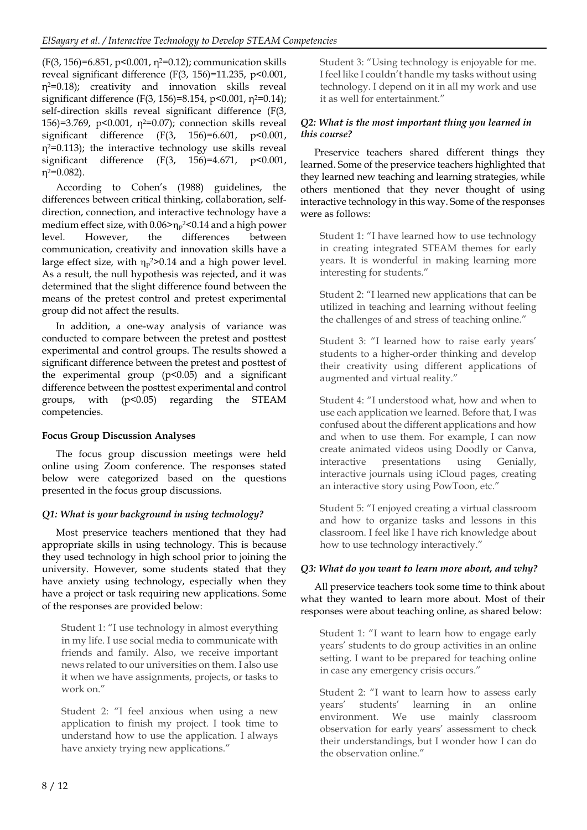$(F(3, 156)=6.851, p<0.001, n<sup>2</sup>=0.12)$ ; communication skills reveal significant difference (F(3, 156)=11.235, p<0.001, η2=0.18); creativity and innovation skills reveal significant difference (F(3, 156)=8.154, p<0.001,  $n^{2}=0.14$ ); self-direction skills reveal significant difference (F(3, 156)=3.769, p<0.001,  $\eta$ <sup>2=0.07</sup>); connection skills reveal significant difference (F(3, 156)=6.601, p<0.001,  $n^2=0.113$ ; the interactive technology use skills reveal significant difference (F(3, 156)=4.671, p<0.001, η2=0.082).

According to Cohen's (1988) guidelines, the differences between critical thinking, collaboration, selfdirection, connection, and interactive technology have a medium effect size, with  $0.06 \ge \eta_p$ 2<0.14 and a high power level. However, the differences between communication, creativity and innovation skills have a large effect size, with  $\eta_{p}$ <sup>2</sup>>0.14 and a high power level. As a result, the null hypothesis was rejected, and it was determined that the slight difference found between the means of the pretest control and pretest experimental group did not affect the results.

In addition, a one-way analysis of variance was conducted to compare between the pretest and posttest experimental and control groups. The results showed a significant difference between the pretest and posttest of the experimental group  $(p<0.05)$  and a significant difference between the posttest experimental and control groups, with (p<0.05) regarding the STEAM competencies.

# **Focus Group Discussion Analyses**

The focus group discussion meetings were held online using Zoom conference. The responses stated below were categorized based on the questions presented in the focus group discussions.

# *Q1: What is your background in using technology?*

Most preservice teachers mentioned that they had appropriate skills in using technology. This is because they used technology in high school prior to joining the university. However, some students stated that they have anxiety using technology, especially when they have a project or task requiring new applications. Some of the responses are provided below:

Student 1: "I use technology in almost everything in my life. I use social media to communicate with friends and family. Also, we receive important news related to our universities on them. I also use it when we have assignments, projects, or tasks to work on."

Student 2: "I feel anxious when using a new application to finish my project. I took time to understand how to use the application. I always have anxiety trying new applications."

Student 3: "Using technology is enjoyable for me. I feel like I couldn't handle my tasks without using technology. I depend on it in all my work and use it as well for entertainment."

# *Q2: What is the most important thing you learned in this course?*

Preservice teachers shared different things they learned. Some of the preservice teachers highlighted that they learned new teaching and learning strategies, while others mentioned that they never thought of using interactive technology in this way. Some of the responses were as follows:

Student 1: "I have learned how to use technology in creating integrated STEAM themes for early years. It is wonderful in making learning more interesting for students."

Student 2: "I learned new applications that can be utilized in teaching and learning without feeling the challenges of and stress of teaching online."

Student 3: "I learned how to raise early years' students to a higher-order thinking and develop their creativity using different applications of augmented and virtual reality."

Student 4: "I understood what, how and when to use each application we learned. Before that, I was confused about the different applications and how and when to use them. For example, I can now create animated videos using Doodly or Canva, interactive presentations using Genially, interactive journals using iCloud pages, creating an interactive story using PowToon, etc."

Student 5: "I enjoyed creating a virtual classroom and how to organize tasks and lessons in this classroom. I feel like I have rich knowledge about how to use technology interactively."

# *Q3: What do you want to learn more about, and why?*

All preservice teachers took some time to think about what they wanted to learn more about. Most of their responses were about teaching online, as shared below:

Student 1: "I want to learn how to engage early years' students to do group activities in an online setting. I want to be prepared for teaching online in case any emergency crisis occurs."

Student 2: "I want to learn how to assess early years' students' learning in an online environment. We use mainly classroom observation for early years' assessment to check their understandings, but I wonder how I can do the observation online."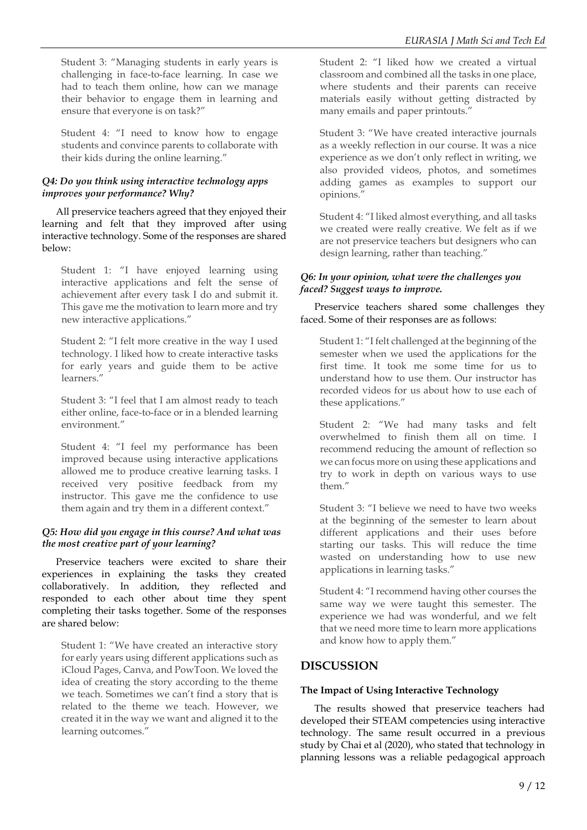Student 3: "Managing students in early years is challenging in face-to-face learning. In case we had to teach them online, how can we manage their behavior to engage them in learning and ensure that everyone is on task?"

Student 4: "I need to know how to engage students and convince parents to collaborate with their kids during the online learning."

# *Q4: Do you think using interactive technology apps improves your performance? Why?*

All preservice teachers agreed that they enjoyed their learning and felt that they improved after using interactive technology. Some of the responses are shared below:

Student 1: "I have enjoyed learning using interactive applications and felt the sense of achievement after every task I do and submit it. This gave me the motivation to learn more and try new interactive applications."

Student 2: "I felt more creative in the way I used technology. I liked how to create interactive tasks for early years and guide them to be active learners."

Student 3: "I feel that I am almost ready to teach either online, face-to-face or in a blended learning environment."

Student 4: "I feel my performance has been improved because using interactive applications allowed me to produce creative learning tasks. I received very positive feedback from my instructor. This gave me the confidence to use them again and try them in a different context."

# *Q5: How did you engage in this course? And what was the most creative part of your learning?*

Preservice teachers were excited to share their experiences in explaining the tasks they created collaboratively. In addition, they reflected and responded to each other about time they spent completing their tasks together. Some of the responses are shared below:

Student 1: "We have created an interactive story for early years using different applications such as iCloud Pages, Canva, and PowToon. We loved the idea of creating the story according to the theme we teach. Sometimes we can't find a story that is related to the theme we teach. However, we created it in the way we want and aligned it to the learning outcomes."

Student 2: "I liked how we created a virtual classroom and combined all the tasks in one place, where students and their parents can receive materials easily without getting distracted by many emails and paper printouts."

Student 3: "We have created interactive journals as a weekly reflection in our course. It was a nice experience as we don't only reflect in writing, we also provided videos, photos, and sometimes adding games as examples to support our opinions."

Student 4: "I liked almost everything, and all tasks we created were really creative. We felt as if we are not preservice teachers but designers who can design learning, rather than teaching."

# *Q6: In your opinion, what were the challenges you faced? Suggest ways to improve.*

Preservice teachers shared some challenges they faced. Some of their responses are as follows:

Student 1: "I felt challenged at the beginning of the semester when we used the applications for the first time. It took me some time for us to understand how to use them. Our instructor has recorded videos for us about how to use each of these applications."

Student 2: "We had many tasks and felt overwhelmed to finish them all on time. I recommend reducing the amount of reflection so we can focus more on using these applications and try to work in depth on various ways to use them."

Student 3: "I believe we need to have two weeks at the beginning of the semester to learn about different applications and their uses before starting our tasks. This will reduce the time wasted on understanding how to use new applications in learning tasks."

Student 4: "I recommend having other courses the same way we were taught this semester. The experience we had was wonderful, and we felt that we need more time to learn more applications and know how to apply them."

# **DISCUSSION**

# **The Impact of Using Interactive Technology**

The results showed that preservice teachers had developed their STEAM competencies using interactive technology. The same result occurred in a previous study by Chai et al (2020), who stated that technology in planning lessons was a reliable pedagogical approach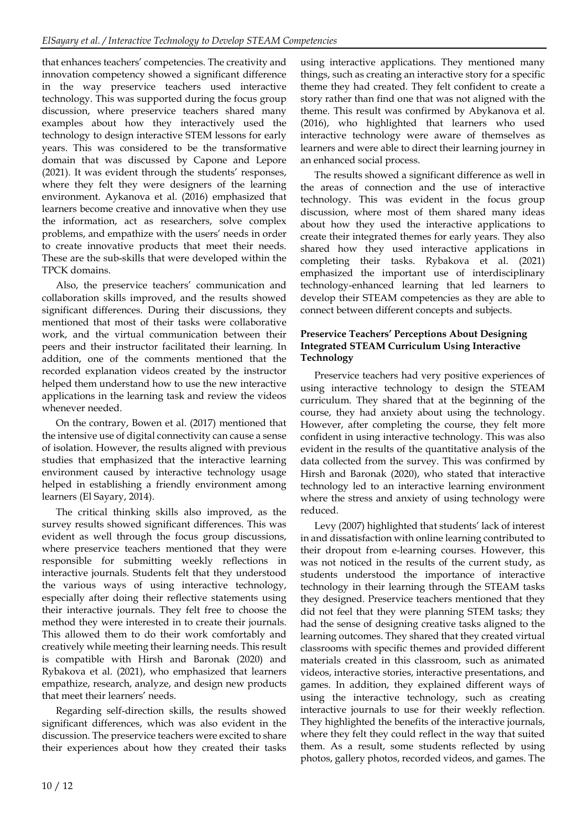that enhances teachers' competencies. The creativity and innovation competency showed a significant difference in the way preservice teachers used interactive technology. This was supported during the focus group discussion, where preservice teachers shared many examples about how they interactively used the technology to design interactive STEM lessons for early years. This was considered to be the transformative domain that was discussed by Capone and Lepore (2021). It was evident through the students' responses, where they felt they were designers of the learning environment. Aykanova et al. (2016) emphasized that learners become creative and innovative when they use the information, act as researchers, solve complex problems, and empathize with the users' needs in order to create innovative products that meet their needs. These are the sub-skills that were developed within the TPCK domains.

Also, the preservice teachers' communication and collaboration skills improved, and the results showed significant differences. During their discussions, they mentioned that most of their tasks were collaborative work, and the virtual communication between their peers and their instructor facilitated their learning. In addition, one of the comments mentioned that the recorded explanation videos created by the instructor helped them understand how to use the new interactive applications in the learning task and review the videos whenever needed.

On the contrary, Bowen et al. (2017) mentioned that the intensive use of digital connectivity can cause a sense of isolation. However, the results aligned with previous studies that emphasized that the interactive learning environment caused by interactive technology usage helped in establishing a friendly environment among learners (El Sayary, 2014).

The critical thinking skills also improved, as the survey results showed significant differences. This was evident as well through the focus group discussions, where preservice teachers mentioned that they were responsible for submitting weekly reflections in interactive journals. Students felt that they understood the various ways of using interactive technology, especially after doing their reflective statements using their interactive journals. They felt free to choose the method they were interested in to create their journals. This allowed them to do their work comfortably and creatively while meeting their learning needs. This result is compatible with Hirsh and Baronak (2020) and Rybakova et al. (2021), who emphasized that learners empathize, research, analyze, and design new products that meet their learners' needs.

Regarding self-direction skills, the results showed significant differences, which was also evident in the discussion. The preservice teachers were excited to share their experiences about how they created their tasks

using interactive applications. They mentioned many things, such as creating an interactive story for a specific theme they had created. They felt confident to create a story rather than find one that was not aligned with the theme. This result was confirmed by Abykanova et al. (2016), who highlighted that learners who used interactive technology were aware of themselves as learners and were able to direct their learning journey in an enhanced social process.

The results showed a significant difference as well in the areas of connection and the use of interactive technology. This was evident in the focus group discussion, where most of them shared many ideas about how they used the interactive applications to create their integrated themes for early years. They also shared how they used interactive applications in completing their tasks. Rybakova et al. (2021) emphasized the important use of interdisciplinary technology-enhanced learning that led learners to develop their STEAM competencies as they are able to connect between different concepts and subjects.

## **Preservice Teachers' Perceptions About Designing Integrated STEAM Curriculum Using Interactive Technology**

Preservice teachers had very positive experiences of using interactive technology to design the STEAM curriculum. They shared that at the beginning of the course, they had anxiety about using the technology. However, after completing the course, they felt more confident in using interactive technology. This was also evident in the results of the quantitative analysis of the data collected from the survey. This was confirmed by Hirsh and Baronak (2020), who stated that interactive technology led to an interactive learning environment where the stress and anxiety of using technology were reduced.

Levy (2007) highlighted that students' lack of interest in and dissatisfaction with online learning contributed to their dropout from e-learning courses. However, this was not noticed in the results of the current study, as students understood the importance of interactive technology in their learning through the STEAM tasks they designed. Preservice teachers mentioned that they did not feel that they were planning STEM tasks; they had the sense of designing creative tasks aligned to the learning outcomes. They shared that they created virtual classrooms with specific themes and provided different materials created in this classroom, such as animated videos, interactive stories, interactive presentations, and games. In addition, they explained different ways of using the interactive technology, such as creating interactive journals to use for their weekly reflection. They highlighted the benefits of the interactive journals, where they felt they could reflect in the way that suited them. As a result, some students reflected by using photos, gallery photos, recorded videos, and games. The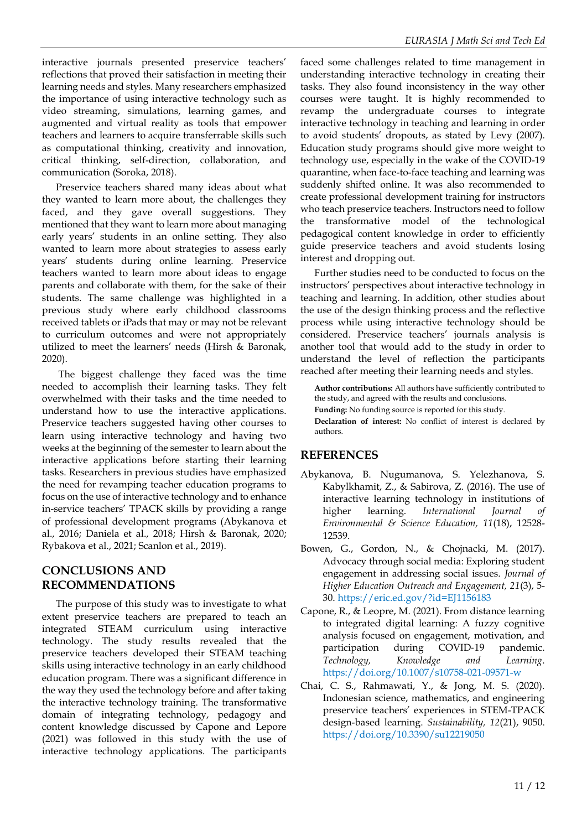interactive journals presented preservice teachers' reflections that proved their satisfaction in meeting their learning needs and styles. Many researchers emphasized the importance of using interactive technology such as video streaming, simulations, learning games, and augmented and virtual reality as tools that empower teachers and learners to acquire transferrable skills such as computational thinking, creativity and innovation, critical thinking, self-direction, collaboration, and communication (Soroka, 2018).

Preservice teachers shared many ideas about what they wanted to learn more about, the challenges they faced, and they gave overall suggestions. They mentioned that they want to learn more about managing early years' students in an online setting. They also wanted to learn more about strategies to assess early years' students during online learning. Preservice teachers wanted to learn more about ideas to engage parents and collaborate with them, for the sake of their students. The same challenge was highlighted in a previous study where early childhood classrooms received tablets or iPads that may or may not be relevant to curriculum outcomes and were not appropriately utilized to meet the learners' needs (Hirsh & Baronak, 2020).

The biggest challenge they faced was the time needed to accomplish their learning tasks. They felt overwhelmed with their tasks and the time needed to understand how to use the interactive applications. Preservice teachers suggested having other courses to learn using interactive technology and having two weeks at the beginning of the semester to learn about the interactive applications before starting their learning tasks. Researchers in previous studies have emphasized the need for revamping teacher education programs to focus on the use of interactive technology and to enhance in-service teachers' TPACK skills by providing a range of professional development programs (Abykanova et al., 2016; Daniela et al., 2018; Hirsh & Baronak, 2020; Rybakova et al., 2021; Scanlon et al., 2019).

# **CONCLUSIONS AND RECOMMENDATIONS**

The purpose of this study was to investigate to what extent preservice teachers are prepared to teach an integrated STEAM curriculum using interactive technology. The study results revealed that the preservice teachers developed their STEAM teaching skills using interactive technology in an early childhood education program. There was a significant difference in the way they used the technology before and after taking the interactive technology training. The transformative domain of integrating technology, pedagogy and content knowledge discussed by Capone and Lepore (2021) was followed in this study with the use of interactive technology applications. The participants

faced some challenges related to time management in understanding interactive technology in creating their tasks. They also found inconsistency in the way other courses were taught. It is highly recommended to revamp the undergraduate courses to integrate interactive technology in teaching and learning in order to avoid students' dropouts, as stated by Levy (2007). Education study programs should give more weight to technology use, especially in the wake of the COVID-19 quarantine, when face-to-face teaching and learning was suddenly shifted online. It was also recommended to create professional development training for instructors who teach preservice teachers. Instructors need to follow the transformative model of the technological pedagogical content knowledge in order to efficiently guide preservice teachers and avoid students losing interest and dropping out.

Further studies need to be conducted to focus on the instructors' perspectives about interactive technology in teaching and learning. In addition, other studies about the use of the design thinking process and the reflective process while using interactive technology should be considered. Preservice teachers' journals analysis is another tool that would add to the study in order to understand the level of reflection the participants reached after meeting their learning needs and styles.

**Author contributions:** All authors have sufficiently contributed to the study, and agreed with the results and conclusions.

**Funding:** No funding source is reported for this study.

**Declaration of interest:** No conflict of interest is declared by authors.

# **REFERENCES**

- Abykanova, B. Nugumanova, S. Yelezhanova, S. Kabylkhamit, Z., & Sabirova, Z. (2016). The use of interactive learning technology in institutions of higher learning. *International Journal of Environmental & Science Education, 11*(18), 12528- 12539.
- Bowen, G., Gordon, N., & Chojnacki, M. (2017). Advocacy through social media: Exploring student engagement in addressing social issues. *Journal of Higher Education Outreach and Engagement, 21*(3), 5- 30[. https://eric.ed.gov/?id=EJ1156183](https://eric.ed.gov/?id=EJ1156183)
- Capone, R., & Leopre, M. (2021). From distance learning to integrated digital learning: A fuzzy cognitive analysis focused on engagement, motivation, and participation during COVID‐19 pandemic. *Technology, Knowledge and Learning*. <https://doi.org/10.1007/s10758-021-09571-w>
- Chai, C. S., Rahmawati, Y., & Jong, M. S. (2020). Indonesian science, mathematics, and engineering preservice teachers' experiences in STEM-TPACK design-based learning. *Sustainability, 12*(21), 9050. <https://doi.org/10.3390/su12219050>